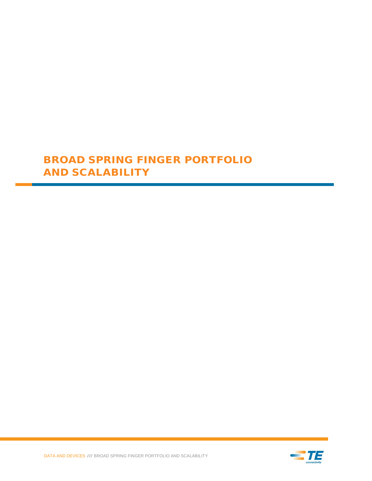# BROAD SPRING FINGER PORTFOLIO AND SCALABILITY

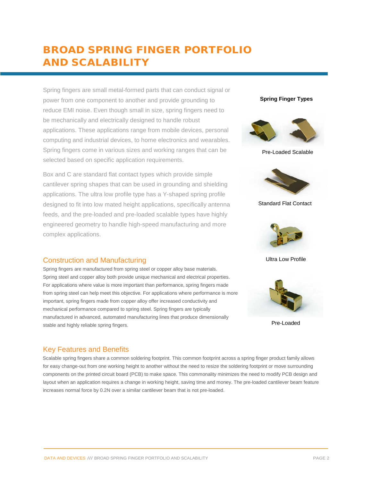# BROAD SPRING FINGER PORTFOLIO AND SCALABILITY

Spring fingers are small metal-formed parts that can conduct signal or power from one component to another and provide grounding to reduce EMI noise. Even though small in size, spring fingers need to be mechanically and electrically designed to handle robust applications. These applications range from mobile devices, personal computing and industrial devices, to home electronics and wearables. Spring fingers come in various sizes and working ranges that can be selected based on specific application requirements.

Box and C are standard flat contact types which provide simple cantilever spring shapes that can be used in grounding and shielding applications. The ultra low profile type has a Y-shaped spring profile designed to fit into low mated height applications, specifically antenna feeds, and the pre-loaded and pre-loaded scalable types have highly engineered geometry to handle high-speed manufacturing and more complex applications.

## Construction and Manufacturing

Spring fingers are manufactured from spring steel or copper alloy base materials. Spring steel and copper alloy both provide unique mechanical and electrical properties. For applications where value is more important than performance, spring fingers made from spring steel can help meet this objective. For applications where performance is more important, spring fingers made from copper alloy offer increased conductivity and mechanical performance compared to spring steel. Spring fingers are typically manufactured in advanced, automated manufacturing lines that produce dimensionally stable and highly reliable spring fingers.

## Key Features and Benefits

Scalable spring fingers share a common soldering footprint. This common footprint across a spring finger product family allows for easy change-out from one working height to another without the need to resize the soldering footprint or move surrounding components on the printed circuit board (PCB) to make space. This commonality minimizes the need to modify PCB design and layout when an application requires a change in working height, saving time and money. The pre-loaded cantilever beam feature increases normal force by 0.2N over a similar cantilever beam that is not pre-loaded.

### **Spring Finger Types**



Pre-Loaded Scalable



Standard Flat Contact



Ultra Low Profile



Pre-Loaded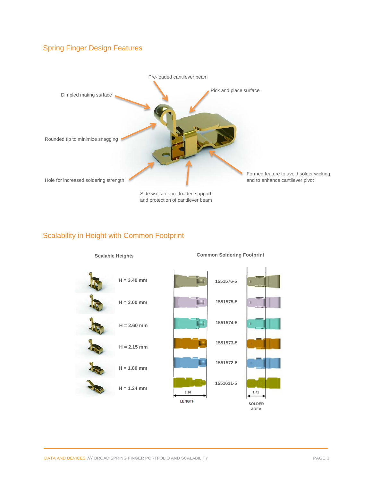## Spring Finger Design Features



Scalability in Height with Common Footprint

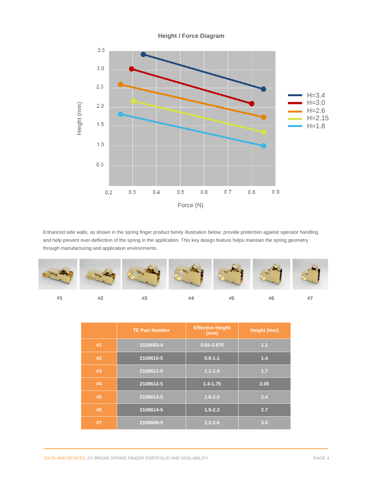

Enhanced side walls, as shown in the spring finger product family illustration below, provide protection against operator handling and help prevent over-deflection of the spring in the application. This key design feature helps maintain the spring geometry through manufacturing and application environments.



|    | <b>TE Part Number</b> | <b>Effective Height</b><br>(mm) | <b>Height (mm)</b> |
|----|-----------------------|---------------------------------|--------------------|
| #1 | 2108693-4             | 0.65-0.875                      | 1.1                |
| #2 | 2108610-5             | $0.8 - 1.1$                     | 1.4                |
| #3 | 2108611-5             | $1.1 - 1.4$                     | 1.7                |
| #4 | 2108612-5             | $1.4 - 1.75$                    | 2.05               |
| #5 | 2108613-5             | $1.6 - 2.0$                     | 2.4                |
| #6 | 2108614-5             | $1.9 - 2.3$                     | 2.7                |
| #7 | 2108609-5             | $2.2 - 2.6$                     | 3.0                |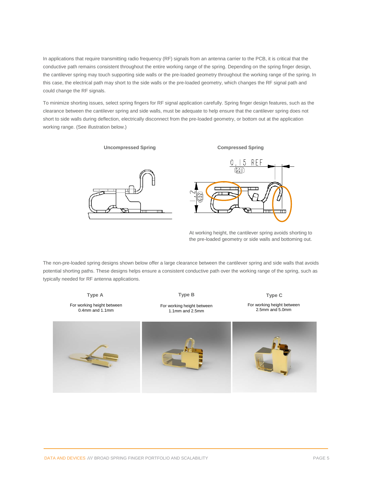In applications that require transmitting radio frequency (RF) signals from an antenna carrier to the PCB, it is critical that the conductive path remains consistent throughout the entire working range of the spring. Depending on the spring finger design, the cantilever spring may touch supporting side walls or the pre-loaded geometry throughout the working range of the spring. In this case, the electrical path may short to the side walls or the pre-loaded geometry, which changes the RF signal path and could change the RF signals.

To minimize shorting issues, select spring fingers for RF signal application carefully. Spring finger design features, such as the clearance between the cantilever spring and side walls, must be adequate to help ensure that the cantilever spring does not short to side walls during deflection, electrically disconnect from the pre-loaded geometry, or bottom out at the application working range. (See illustration below.)

**Uncompressed Spring Compressed Spring**





At working height, the cantilever spring avoids shorting to the pre-loaded geometry or side walls and bottoming out.

The non-pre-loaded spring designs shown below offer a large clearance between the cantilever spring and side walls that avoids potential shorting paths. These designs helps ensure a consistent conductive path over the working range of the spring, such as typically needed for RF antenna applications.

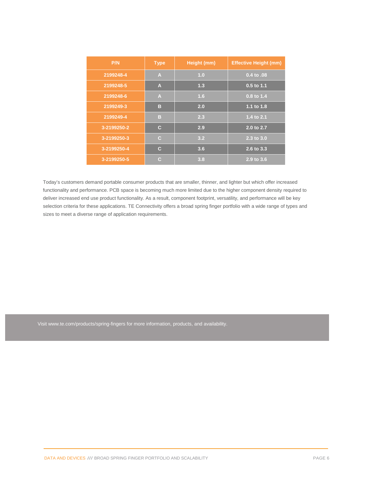| P/N         | <b>Type</b>    | Height (mm) | <b>Effective Height (mm)</b> |
|-------------|----------------|-------------|------------------------------|
| 2199248-4   | $\overline{A}$ | 1.0         | 0.4 to .08                   |
| 2199248-5   | A              | 1.3         | 0.5 to 1.1                   |
| 2199248-6   | A              | 1.6         | 0.8 to 1.4                   |
| 2199249-3   | в              | 2.0         | 1.1 to 1.8                   |
| 2199249-4   | в              | 2.3         | 1.4 to 2.1                   |
| 3-2199250-2 | $\mathbf c$    | 2.9         | 2.0 to 2.7                   |
| 3-2199250-3 | $\mathbf C$    | 3.2         | 2.3 to 3.0                   |
| 3-2199250-4 | $\mathbf c$    | 3.6         | 2.6 to 3.3                   |
| 3-2199250-5 | C              | 3.8         | 2.9 to 3.6                   |

Today's customers demand portable consumer products that are smaller, thinner, and lighter but which offer increased functionality and performance. PCB space is becoming much more limited due to the higher component density required to deliver increased end use product functionality. As a result, component footprint, versatility, and performance will be key selection criteria for these applications. TE Connectivity offers a broad spring finger portfolio with a wide range of types and sizes to meet a diverse range of application requirements.

Visit www.te.com/products/spring-fingers for more information, products, and availability.